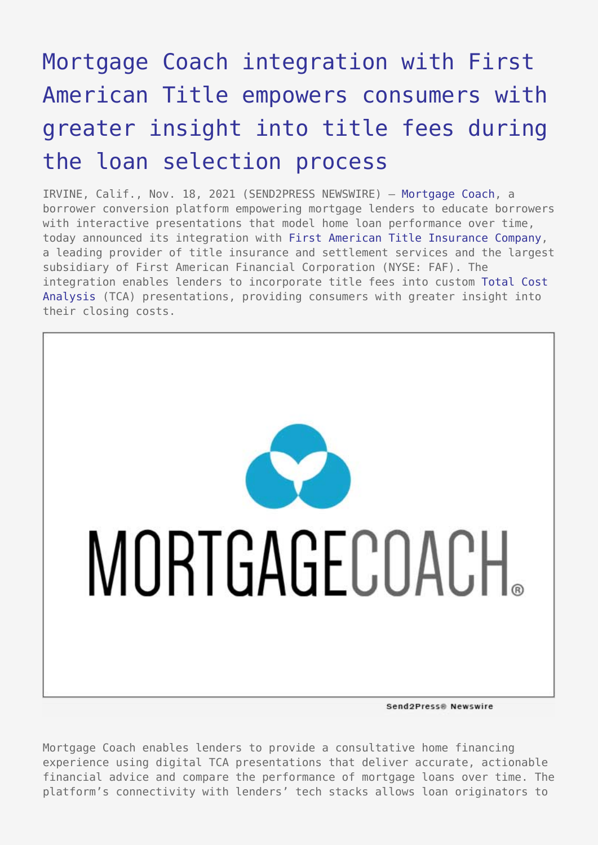# [Mortgage Coach integration with First](https://www.send2press.com/wire/mortgage-coach-integration-with-first-american-title-empowers-consumers-with-greater-insight-into-title-fees-during-the-loan-selection-process/) [American Title empowers consumers with](https://www.send2press.com/wire/mortgage-coach-integration-with-first-american-title-empowers-consumers-with-greater-insight-into-title-fees-during-the-loan-selection-process/) [greater insight into title fees during](https://www.send2press.com/wire/mortgage-coach-integration-with-first-american-title-empowers-consumers-with-greater-insight-into-title-fees-during-the-loan-selection-process/) [the loan selection process](https://www.send2press.com/wire/mortgage-coach-integration-with-first-american-title-empowers-consumers-with-greater-insight-into-title-fees-during-the-loan-selection-process/)

IRVINE, Calif., Nov. 18, 2021 (SEND2PRESS NEWSWIRE) — [Mortgage Coach,](http://www.mortgagecoach.com/) a borrower conversion platform empowering mortgage lenders to educate borrowers with interactive presentations that model home loan performance over time, today announced its integration with [First American Title Insurance Company](https://www.firstam.com/title/), a leading provider of title insurance and settlement services and the largest subsidiary of First American Financial Corporation (NYSE: FAF). The integration enables lenders to incorporate title fees into custom [Total Cost](https://mortgagecoach.com/tca) [Analysis](https://mortgagecoach.com/tca) (TCA) presentations, providing consumers with greater insight into their closing costs.



Send2Press@ Newswire

Mortgage Coach enables lenders to provide a consultative home financing experience using digital TCA presentations that deliver accurate, actionable financial advice and compare the performance of mortgage loans over time. The platform's connectivity with lenders' tech stacks allows loan originators to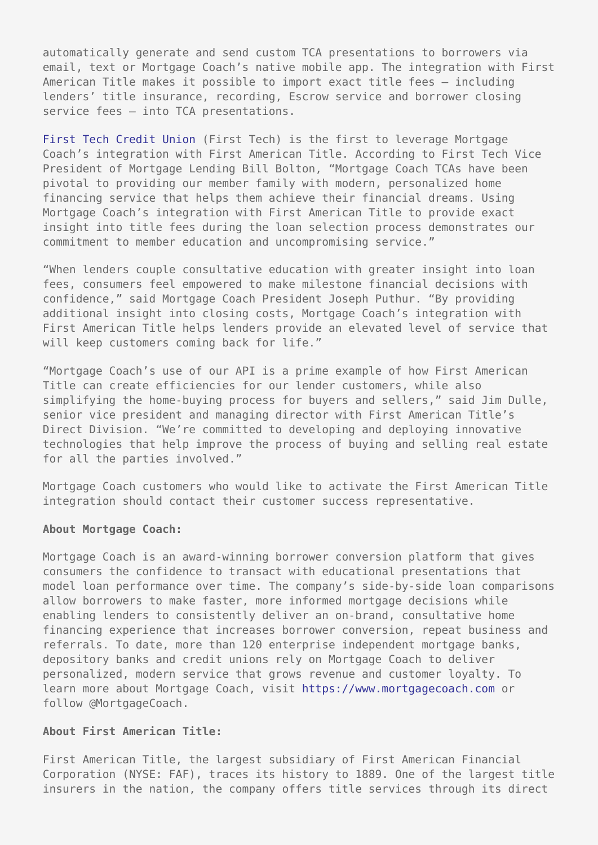automatically generate and send custom TCA presentations to borrowers via email, text or Mortgage Coach's native mobile app. The integration with First American Title makes it possible to import exact title fees — including lenders' title insurance, recording, Escrow service and borrower closing service fees — into TCA presentations.

[First Tech Credit Union](https://www.firsttechfed.com/) (First Tech) is the first to leverage Mortgage Coach's integration with First American Title. According to First Tech Vice President of Mortgage Lending Bill Bolton, "Mortgage Coach TCAs have been pivotal to providing our member family with modern, personalized home financing service that helps them achieve their financial dreams. Using Mortgage Coach's integration with First American Title to provide exact insight into title fees during the loan selection process demonstrates our commitment to member education and uncompromising service."

"When lenders couple consultative education with greater insight into loan fees, consumers feel empowered to make milestone financial decisions with confidence," said Mortgage Coach President Joseph Puthur. "By providing additional insight into closing costs, Mortgage Coach's integration with First American Title helps lenders provide an elevated level of service that will keep customers coming back for life."

"Mortgage Coach's use of our API is a prime example of how First American Title can create efficiencies for our lender customers, while also simplifying the home-buying process for buyers and sellers," said Jim Dulle, senior vice president and managing director with First American Title's Direct Division. "We're committed to developing and deploying innovative technologies that help improve the process of buying and selling real estate for all the parties involved."

Mortgage Coach customers who would like to activate the First American Title integration should contact their customer success representative.

#### **About Mortgage Coach:**

Mortgage Coach is an award-winning borrower conversion platform that gives consumers the confidence to transact with educational presentations that model loan performance over time. The company's side-by-side loan comparisons allow borrowers to make faster, more informed mortgage decisions while enabling lenders to consistently deliver an on-brand, consultative home financing experience that increases borrower conversion, repeat business and referrals. To date, more than 120 enterprise independent mortgage banks, depository banks and credit unions rely on Mortgage Coach to deliver personalized, modern service that grows revenue and customer loyalty. To learn more about Mortgage Coach, visit [https://www.mortgagecoach.com](https://www.mortgagecoach.com/) or follow @MortgageCoach.

### **About First American Title:**

First American Title, the largest subsidiary of First American Financial Corporation (NYSE: FAF), traces its history to 1889. One of the largest title insurers in the nation, the company offers title services through its direct